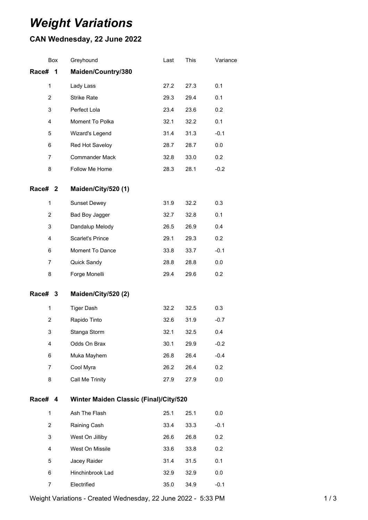## *Weight Variations*

## **CAN Wednesday, 22 June 2022**

| Box                                                      | Greyhound               | Last | This | Variance |  |  |
|----------------------------------------------------------|-------------------------|------|------|----------|--|--|
| Race#<br>1                                               | Maiden/Country/380      |      |      |          |  |  |
| 1                                                        | Lady Lass               | 27.2 | 27.3 | 0.1      |  |  |
| $\overline{2}$                                           | <b>Strike Rate</b>      | 29.3 | 29.4 | 0.1      |  |  |
| 3                                                        | Perfect Lola            | 23.4 | 23.6 | 0.2      |  |  |
| 4                                                        | Moment To Polka         | 32.1 | 32.2 | 0.1      |  |  |
| 5                                                        | Wizard's Legend         | 31.4 | 31.3 | $-0.1$   |  |  |
| 6                                                        | Red Hot Saveloy         | 28.7 | 28.7 | 0.0      |  |  |
| 7                                                        | <b>Commander Mack</b>   | 32.8 | 33.0 | 0.2      |  |  |
| 8                                                        | Follow Me Home          | 28.3 | 28.1 | $-0.2$   |  |  |
| Race# 2                                                  | Maiden/City/520 (1)     |      |      |          |  |  |
| 1                                                        | <b>Sunset Dewey</b>     | 31.9 | 32.2 | 0.3      |  |  |
| $\overline{2}$                                           | Bad Boy Jagger          | 32.7 | 32.8 | 0.1      |  |  |
| 3                                                        | Dandalup Melody         | 26.5 | 26.9 | 0.4      |  |  |
| 4                                                        | <b>Scarlet's Prince</b> | 29.1 | 29.3 | 0.2      |  |  |
| 6                                                        | Moment To Dance         | 33.8 | 33.7 | $-0.1$   |  |  |
| $\overline{7}$                                           | Quick Sandy             | 28.8 | 28.8 | 0.0      |  |  |
| 8                                                        | Forge Monelli           | 29.4 | 29.6 | 0.2      |  |  |
| Race# 3                                                  | Maiden/City/520 (2)     |      |      |          |  |  |
| $\mathbf{1}$                                             | <b>Tiger Dash</b>       | 32.2 | 32.5 | 0.3      |  |  |
| $\overline{2}$                                           | Rapido Tinto            | 32.6 | 31.9 | $-0.7$   |  |  |
| 3                                                        | Stanga Storm            | 32.1 | 32.5 | 0.4      |  |  |
| 4                                                        | Odds On Brax            | 30.1 | 29.9 | $-0.2$   |  |  |
| 6                                                        | Muka Mayhem             | 26.8 | 26.4 | $-0.4$   |  |  |
| $\overline{7}$                                           | Cool Myra               | 26.2 | 26.4 | 0.2      |  |  |
| 8                                                        | Call Me Trinity         | 27.9 | 27.9 | 0.0      |  |  |
| Race# 4<br><b>Winter Maiden Classic (Final)/City/520</b> |                         |      |      |          |  |  |
| $\mathbf{1}$                                             | Ash The Flash           | 25.1 | 25.1 | 0.0      |  |  |
| $\overline{2}$                                           | Raining Cash            | 33.4 | 33.3 | $-0.1$   |  |  |
| 3                                                        | West On Jilliby         | 26.6 | 26.8 | 0.2      |  |  |
| 4                                                        | West On Missile         | 33.6 | 33.8 | 0.2      |  |  |
| 5                                                        | Jacey Raider            | 31.4 | 31.5 | 0.1      |  |  |
| 6                                                        | Hinchinbrook Lad        | 32.9 | 32.9 | 0.0      |  |  |
| 7                                                        | Electrified             | 35.0 | 34.9 | $-0.1$   |  |  |

Weight Variations - Created Wednesday, 22 June 2022 - 5:33 PM 1 / 3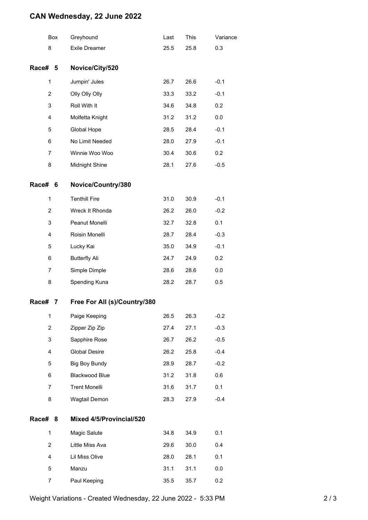## **CAN Wednesday, 22 June 2022**

|                | Box | Greyhound                    | Last | This | Variance |
|----------------|-----|------------------------------|------|------|----------|
| 8              |     | <b>Exile Dreamer</b>         | 25.5 | 25.8 | 0.3      |
| Race# 5        |     | Novice/City/520              |      |      |          |
| 1              |     | Jumpin' Jules                | 26.7 | 26.6 | $-0.1$   |
| $\overline{c}$ |     | Olly Olly Olly               | 33.3 | 33.2 | $-0.1$   |
| 3              |     | Roll With It                 | 34.6 | 34.8 | 0.2      |
| 4              |     | Molfetta Knight              | 31.2 | 31.2 | 0.0      |
| 5              |     | Global Hope                  | 28.5 | 28.4 | $-0.1$   |
| 6              |     | No Limit Needed              | 28.0 | 27.9 | $-0.1$   |
| 7              |     | Winnie Woo Woo               | 30.4 | 30.6 | 0.2      |
| 8              |     | Midnight Shine               | 28.1 | 27.6 | $-0.5$   |
| Race#          | 6   | Novice/Country/380           |      |      |          |
| 1              |     | <b>Tenthill Fire</b>         | 31.0 | 30.9 | $-0.1$   |
| $\overline{2}$ |     | Wreck It Rhonda              | 26.2 | 26.0 | $-0.2$   |
| 3              |     | Peanut Monelli               | 32.7 | 32.8 | 0.1      |
| 4              |     | Roisin Monelli               | 28.7 | 28.4 | $-0.3$   |
| 5              |     | Lucky Kai                    | 35.0 | 34.9 | $-0.1$   |
| 6              |     | <b>Butterfly Ali</b>         | 24.7 | 24.9 | 0.2      |
| 7              |     | Simple Dimple                | 28.6 | 28.6 | 0.0      |
| 8              |     | Spending Kuna                | 28.2 | 28.7 | 0.5      |
| Race#          | 7   | Free For All (s)/Country/380 |      |      |          |
| 1              |     | Paige Keeping                | 26.5 | 26.3 | $-0.2$   |
| 2              |     | Zipper Zip Zip               | 27.4 | 27.1 | $-0.3$   |
| 3              |     | Sapphire Rose                | 26.7 | 26.2 | $-0.5$   |
| 4              |     | <b>Global Desire</b>         | 26.2 | 25.8 | $-0.4$   |
| 5              |     | <b>Big Boy Bundy</b>         | 28.9 | 28.7 | $-0.2$   |
| 6              |     | Blackwood Blue               | 31.2 | 31.8 | 0.6      |
| 7              |     | <b>Trent Monelli</b>         | 31.6 | 31.7 | 0.1      |
| 8              |     | Wagtail Demon                | 28.3 | 27.9 | $-0.4$   |
| Race#          | 8   | Mixed 4/5/Provincial/520     |      |      |          |
| 1              |     | Magic Salute                 | 34.8 | 34.9 | 0.1      |
| $\overline{2}$ |     | Little Miss Ava              | 29.6 | 30.0 | 0.4      |
| 4              |     | Lil Miss Olive               | 28.0 | 28.1 | 0.1      |
| 5              |     | Manzu                        | 31.1 | 31.1 | 0.0      |
| 7              |     | Paul Keeping                 | 35.5 | 35.7 | 0.2      |